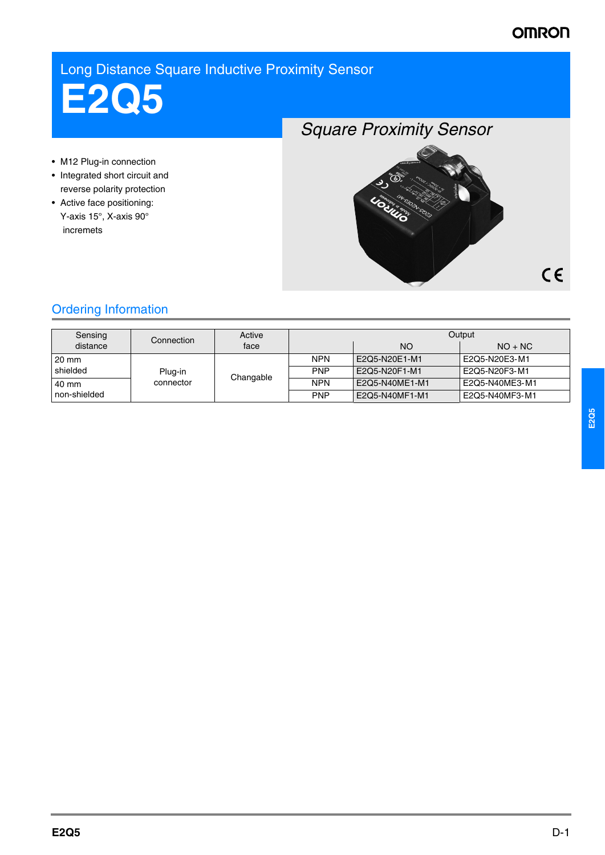# Long Distance Square Inductive Proximity Sensor

**E2Q5**

- M12 Plug-in connection
- Integrated short circuit and reverse polarity protection
- Active face positioning: Y-axis 15°, X-axis 90° incremets

*Square Proximity Sensor*



# Ordering Information

| Sensing<br>distance | Connection           | Active    | Output     |                |                |
|---------------------|----------------------|-----------|------------|----------------|----------------|
|                     |                      | face      |            | NO.            | $NO + NC$      |
| l 20 mm             | Plug-in<br>connector | Changable | <b>NPN</b> | E2Q5-N20E1-M1  | E2Q5-N20E3-M1  |
| shielded            |                      |           | <b>PNP</b> | E2Q5-N20F1-M1  | E2Q5-N20F3-M1  |
| 140 mm              |                      |           | <b>NPN</b> | E2Q5-N40ME1-M1 | E2Q5-N40ME3-M1 |
| I non-shielded      |                      |           | <b>PNP</b> | E2Q5-N40MF1-M1 | E2Q5-N40MF3-M1 |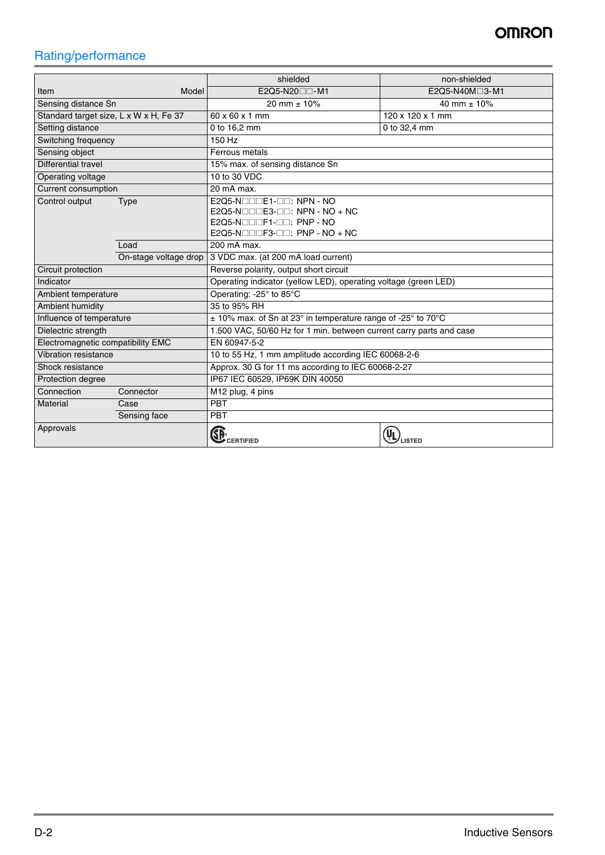# Rating/performance

|                                        |                       | shielded                                                            | non-shielded     |  |  |
|----------------------------------------|-----------------------|---------------------------------------------------------------------|------------------|--|--|
| Item                                   | Model                 | E2Q5-N20 <sup>-1</sup> -M1                                          | E2Q5-N40M□3-M1   |  |  |
| Sensing distance Sn                    |                       | 20 mm $\pm$ 10%                                                     | 40 mm $\pm$ 10%  |  |  |
| Standard target size, L x W x H, Fe 37 |                       | 60 x 60 x 1 mm                                                      | 120 x 120 x 1 mm |  |  |
| Setting distance                       |                       | 0 to 16,2 mm                                                        | 0 to 32,4 mm     |  |  |
| Switching frequency                    |                       | 150 Hz                                                              |                  |  |  |
| Sensing object                         |                       | Ferrous metals                                                      |                  |  |  |
| Differential travel                    |                       | 15% max. of sensing distance Sn                                     |                  |  |  |
| Operating voltage                      |                       | 10 to 30 VDC                                                        |                  |  |  |
| <b>Current consumption</b>             |                       | 20 mA max.                                                          |                  |  |  |
| Control output<br>Type                 |                       | E2Q5-NOODE1-OO: NPN - NO                                            |                  |  |  |
|                                        |                       | E2Q5-N $\square\square\square$ E3- $\square\square$ : NPN - NO + NC |                  |  |  |
|                                        |                       | $E2Q5-N\square\square F1-\square$ : PNP - NO                        |                  |  |  |
| Load                                   |                       | E2Q5-N $\square\square\square$ F3- $\square\square$ : PNP - NO + NC |                  |  |  |
|                                        |                       | 200 mA max.                                                         |                  |  |  |
|                                        | On-stage voltage drop | 3 VDC max. (at 200 mA load current)                                 |                  |  |  |
| Circuit protection                     |                       | Reverse polarity, output short circuit                              |                  |  |  |
| Indicator                              |                       | Operating indicator (yellow LED), operating voltage (green LED)     |                  |  |  |
| Ambient temperature                    |                       | Operating: -25° to 85°C                                             |                  |  |  |
| Ambient humidity                       |                       | 35 to 95% RH                                                        |                  |  |  |
| Influence of temperature               |                       | $\pm$ 10% max. of Sn at 23° in temperature range of -25° to 70°C    |                  |  |  |
| Dielectric strength                    |                       | 1.500 VAC, 50/60 Hz for 1 min. between current carry parts and case |                  |  |  |
| Electromagnetic compatibility EMC      |                       | EN 60947-5-2                                                        |                  |  |  |
| Vibration resistance                   |                       | 10 to 55 Hz, 1 mm amplitude according IEC 60068-2-6                 |                  |  |  |
| Shock resistance                       |                       | Approx. 30 G for 11 ms according to IEC 60068-2-27                  |                  |  |  |
| Protection degree                      |                       | IP67 IEC 60529, IP69K DIN 40050                                     |                  |  |  |
| Connection                             | Connector             | M12 plug, 4 pins                                                    |                  |  |  |
| Material<br>Case                       |                       | PBT                                                                 |                  |  |  |
|                                        | Sensing face          | PBT                                                                 |                  |  |  |
| Approvals                              |                       | <b>CERTIFIED</b>                                                    | LISTED           |  |  |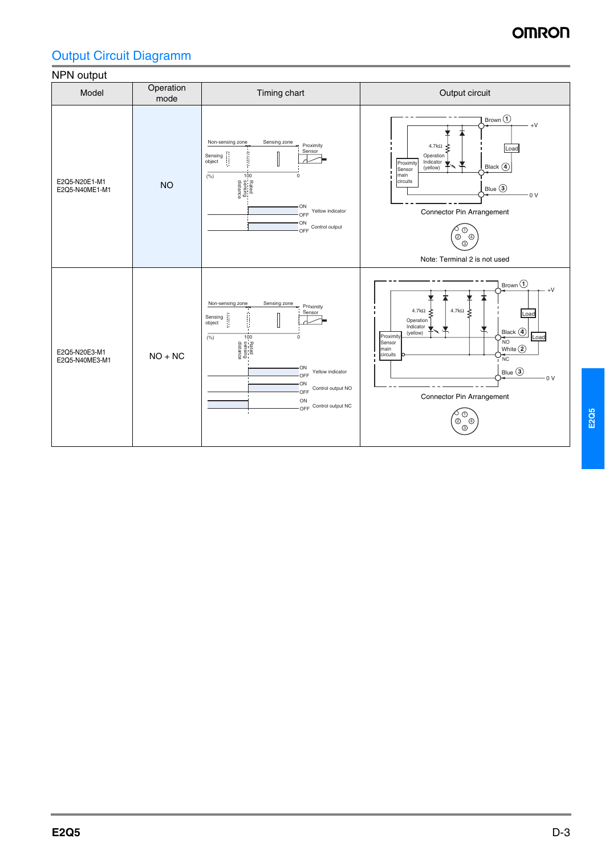# Output Circuit Diagramm

## NPN output



**E2Q5**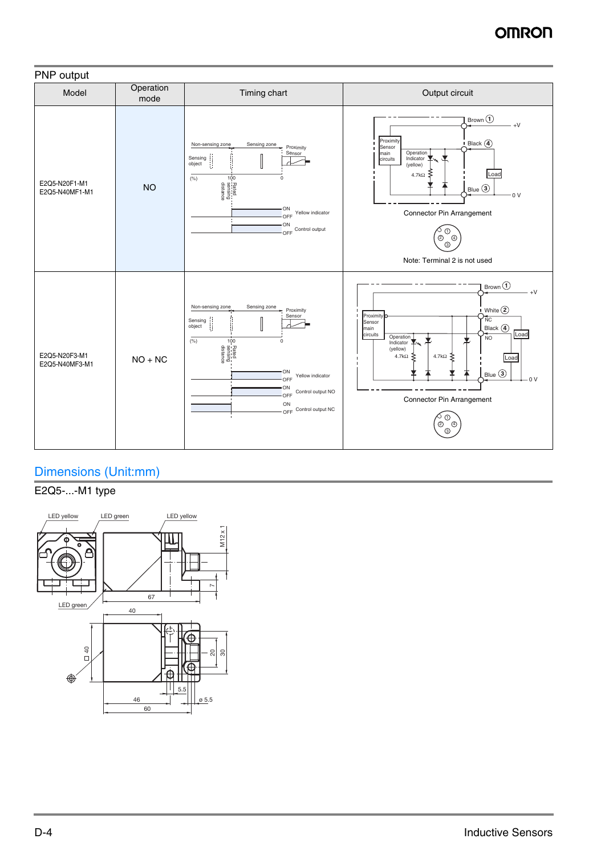

# Dimensions (Unit:mm)

## E2Q5-...-M1 type

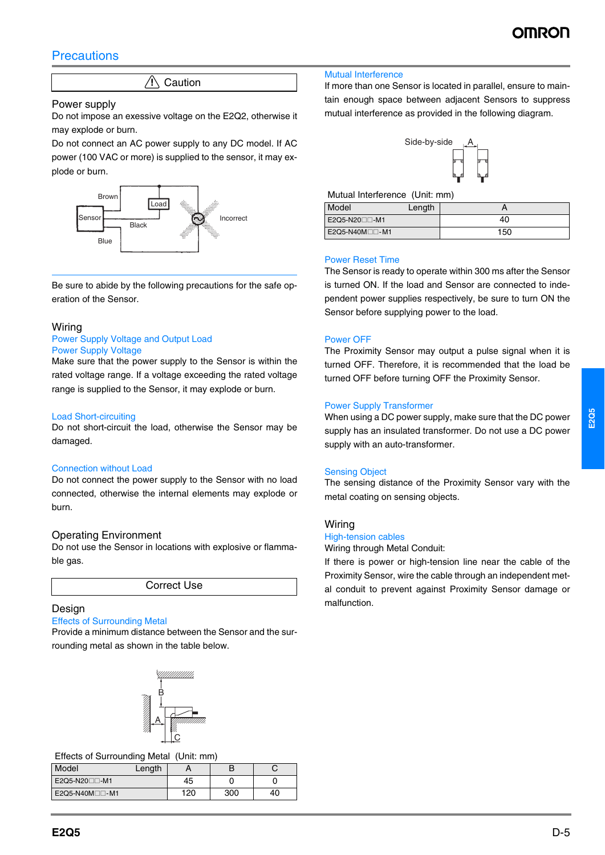## **Precautions**

 $/$  Caution

### Power supply

Do not impose an exessive voltage on the E2Q2, otherwise it may explode or burn.

Do not connect an AC power supply to any DC model. If AC power (100 VAC or more) is supplied to the sensor, it may explode or burn.



Be sure to abide by the following precautions for the safe operation of the Sensor.

### Wiring

#### Power Supply Voltage and Output Load Power Supply Voltage

Make sure that the power supply to the Sensor is within the rated voltage range. If a voltage exceeding the rated voltage range is supplied to the Sensor, it may explode or burn.

#### Load Short-circuiting

Do not short-circuit the load, otherwise the Sensor may be damaged.

#### Connection without Load

Do not connect the power supply to the Sensor with no load connected, otherwise the internal elements may explode or burn.

### Operating Environment

Do not use the Sensor in locations with explosive or flammable gas.

Correct Use

### Design

## Effects of Surrounding Metal

Provide a minimum distance between the Sensor and the surrounding metal as shown in the table below.



Effects of Surrounding Metal (Unit: mm)

| Model                      | Length |     |     |    |
|----------------------------|--------|-----|-----|----|
| E2Q5-N20 <sub>00</sub> -M1 |        | 45  |     |    |
| E2Q5-N40M□□-M1             |        | 120 | 300 | 40 |

#### Mutual Interference

If more than one Sensor is located in parallel, ensure to maintain enough space between adjacent Sensors to suppress mutual interference as provided in the following diagram.



Mutual Interference (Unit: mm)

| Model                      | Length |     |
|----------------------------|--------|-----|
| E2Q5-N20 <sub>0</sub> 0-M1 |        | 40  |
| E2Q5-N40M <sub>D</sub> -M1 |        | 150 |

#### Power Reset Time

The Sensor is ready to operate within 300 ms after the Sensor is turned ON. If the load and Sensor are connected to independent power supplies respectively, be sure to turn ON the Sensor before supplying power to the load.

#### Power OFF

The Proximity Sensor may output a pulse signal when it is turned OFF. Therefore, it is recommended that the load be turned OFF before turning OFF the Proximity Sensor.

#### Power Supply Transformer

When using a DC power supply, make sure that the DC power supply has an insulated transformer. Do not use a DC power supply with an auto-transformer.

#### Sensing Object

The sensing distance of the Proximity Sensor vary with the metal coating on sensing objects.

### Wiring

#### High-tension cables Wiring through Metal Conduit:

If there is power or high-tension line near the cable of the Proximity Sensor, wire the cable through an independent metal conduit to prevent against Proximity Sensor damage or malfunction.